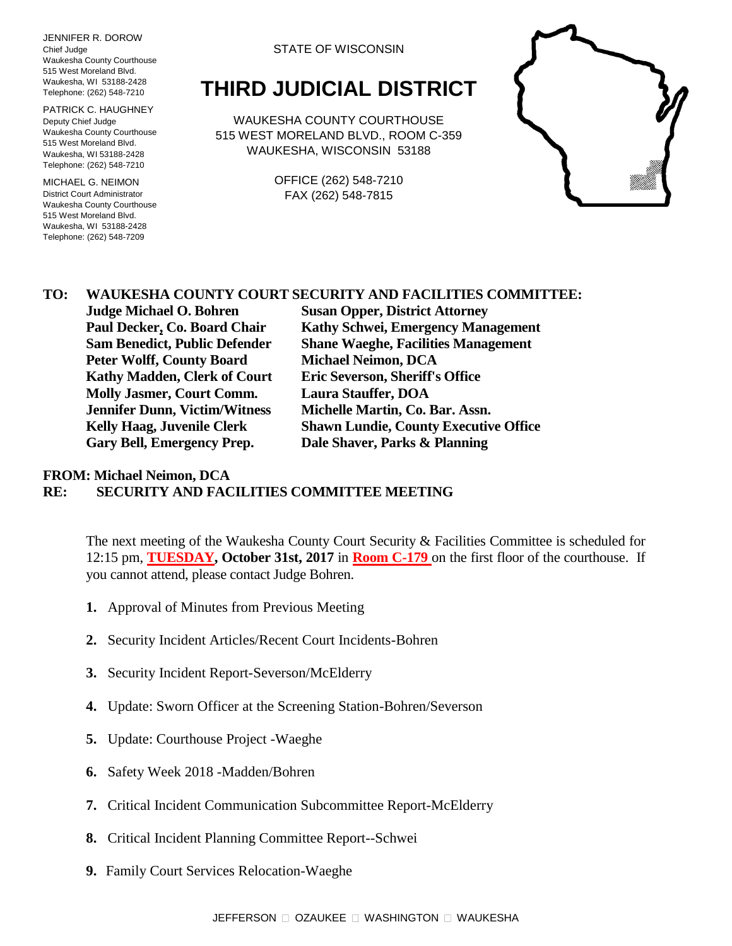JENNIFER R. DOROW Chief Judge Waukesha County Courthouse 515 West Moreland Blvd. Waukesha, WI 53188-2428 Telephone: (262) 548-7210

PATRICK C. HAUGHNEY Deputy Chief Judge Waukesha County Courthouse 515 West Moreland Blvd. Waukesha, WI 53188-2428 Telephone: (262) 548-7210

MICHAEL G. NEIMON District Court Administrator Waukesha County Courthouse 515 West Moreland Blvd. Waukesha, WI 53188-2428 Telephone: (262) 548-7209

#### STATE OF WISCONSIN

# **THIRD JUDICIAL DISTRICT**

WAUKESHA COUNTY COURTHOUSE 515 WEST MORELAND BLVD., ROOM C-359 WAUKESHA, WISCONSIN 53188

> OFFICE (262) 548-7210 FAX (262) 548-7815



### **TO: WAUKESHA COUNTY COURT SECURITY AND FACILITIES COMMITTEE:**

**Peter Wolff, County Board Michael Neimon, DCA Kathy Madden, Clerk of Court Eric Severson, Sheriff's Office Molly Jasmer, Court Comm. Laura Stauffer, DOA Jennifer Dunn, Victim/Witness Michelle Martin, Co. Bar. Assn. Gary Bell, Emergency Prep. Dale Shaver, Parks & Planning**

**Judge Michael O. Bohren Susan Opper, District Attorney Paul Decker, Co. Board Chair Kathy Schwei, Emergency Management Sam Benedict, Public Defender Shane Waeghe, Facilities Management Kelly Haag, Juvenile Clerk Shawn Lundie, County Executive Office**

#### **FROM: Michael Neimon, DCA RE: SECURITY AND FACILITIES COMMITTEE MEETING**

The next meeting of the Waukesha County Court Security & Facilities Committee is scheduled for 12:15 pm, **TUESDAY, October 31st, 2017** in **Room C-179** on the first floor of the courthouse. If you cannot attend, please contact Judge Bohren.

- **1.** Approval of Minutes from Previous Meeting
- **2.** Security Incident Articles/Recent Court Incidents-Bohren
- **3.** Security Incident Report-Severson/McElderry
- **4.** Update: Sworn Officer at the Screening Station-Bohren/Severson
- **5.** Update: Courthouse Project -Waeghe
- **6.** Safety Week 2018 -Madden/Bohren
- **7.** Critical Incident Communication Subcommittee Report-McElderry
- **8.** Critical Incident Planning Committee Report--Schwei
- **9.** Family Court Services Relocation-Waeghe